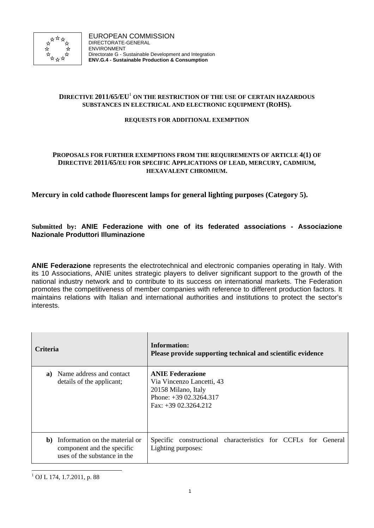

# **DIRECTIVE 2011/65/EU**<sup>1</sup> **ON THE RESTRICTION OF THE USE OF CERTAIN HAZARDOUS SUBSTANCES IN ELECTRICAL AND ELECTRONIC EQUIPMENT (ROHS).**

#### **REQUESTS FOR ADDITIONAL EXEMPTION**

### **PROPOSALS FOR FURTHER EXEMPTIONS FROM THE REQUIREMENTS OF ARTICLE 4(1) OF DIRECTIVE 2011/65/EU FOR SPECIFIC APPLICATIONS OF LEAD, MERCURY, CADMIUM, HEXAVALENT CHROMIUM.**

# **Mercury in cold cathode fluorescent lamps for general lighting purposes (Category 5).**

# **Submitted by: ANIE Federazione with one of its federated associations - Associazione Nazionale Produttori Illuminazione**

**ANIE Federazione** represents the electrotechnical and electronic companies operating in Italy. With its 10 Associations, ANIE unites strategic players to deliver significant support to the growth of the national industry network and to contribute to its success on international markets. The Federation promotes the competitiveness of member companies with reference to different production factors. It maintains relations with Italian and international authorities and institutions to protect the sector's interests.

| <b>Criteria</b> |                                                                                              | Information:<br>Please provide supporting technical and scientific evidence                                                     |
|-----------------|----------------------------------------------------------------------------------------------|---------------------------------------------------------------------------------------------------------------------------------|
| a)              | Name address and contact<br>details of the applicant;                                        | <b>ANIE Federazione</b><br>Via Vincenzo Lancetti, 43<br>20158 Milano, Italy<br>Phone: $+3902.3264.317$<br>$Fax: +3902.3264.212$ |
| b)              | Information on the material or<br>component and the specific<br>uses of the substance in the | constructional characteristics for CCFLs for General<br>Specific<br>Lighting purposes:                                          |

l 1 OJ L 174, 1.7.2011, p. 88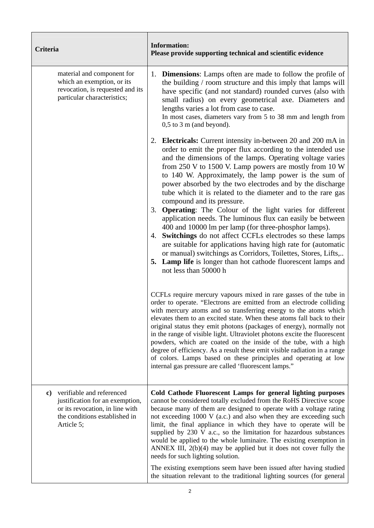| Criteria                                                                                                                                                   | <b>Information:</b><br>Please provide supporting technical and scientific evidence                                                                                                                                                                                                                                                                                                                                                                                                                                                                                                                                                                                                                                                                                                                                                                                                                                                                             |
|------------------------------------------------------------------------------------------------------------------------------------------------------------|----------------------------------------------------------------------------------------------------------------------------------------------------------------------------------------------------------------------------------------------------------------------------------------------------------------------------------------------------------------------------------------------------------------------------------------------------------------------------------------------------------------------------------------------------------------------------------------------------------------------------------------------------------------------------------------------------------------------------------------------------------------------------------------------------------------------------------------------------------------------------------------------------------------------------------------------------------------|
| material and component for<br>which an exemption, or its<br>revocation, is requested and its<br>particular characteristics;                                | 1. <b>Dimensions:</b> Lamps often are made to follow the profile of<br>the building / room structure and this imply that lamps will<br>have specific (and not standard) rounded curves (also with<br>small radius) on every geometrical axe. Diameters and<br>lengths varies a lot from case to case.<br>In most cases, diameters vary from 5 to 38 mm and length from<br>$0,5$ to $3 \text{ m}$ (and beyond).                                                                                                                                                                                                                                                                                                                                                                                                                                                                                                                                                 |
|                                                                                                                                                            | 2. Electricals: Current intensity in-between 20 and 200 mA in<br>order to emit the proper flux according to the intended use<br>and the dimensions of the lamps. Operating voltage varies<br>from $250$ V to $1500$ V. Lamp powers are mostly from 10 W<br>to 140 W. Approximately, the lamp power is the sum of<br>power absorbed by the two electrodes and by the discharge<br>tube which it is related to the diameter and to the rare gas<br>compound and its pressure.<br>3. Operating: The Colour of the light varies for different<br>application needs. The luminous flux can easily be between<br>400 and 10000 lm per lamp (for three-phosphor lamps).<br>Switchings do not affect CCFLs electrodes so these lamps<br>4.<br>are suitable for applications having high rate for (automatic<br>or manual) switchings as Corridors, Toilettes, Stores, Lifts,<br>5. Lamp life is longer than hot cathode fluorescent lamps and<br>not less than 50000 h |
|                                                                                                                                                            | CCFLs require mercury vapours mixed in rare gasses of the tube in<br>order to operate. "Electrons are emitted from an electrode colliding<br>with mercury atoms and so transferring energy to the atoms which<br>elevates them to an excited state. When these atoms fall back to their<br>original status they emit photons (packages of energy), normally not<br>in the range of visible light. Ultraviolet photons excite the fluorescent<br>powders, which are coated on the inside of the tube, with a high<br>degree of efficiency. As a result these emit visible radiation in a range<br>of colors. Lamps based on these principles and operating at low<br>internal gas pressure are called 'fluorescent lamps."                                                                                                                                                                                                                                      |
| verifiable and referenced<br>$\bf c)$<br>justification for an exemption,<br>or its revocation, in line with<br>the conditions established in<br>Article 5; | Cold Cathode Fluorescent Lamps for general lighting purposes<br>cannot be considered totally excluded from the RoHS Directive scope<br>because many of them are designed to operate with a voltage rating<br>not exceeding 1000 V (a.c.) and also when they are exceeding such<br>limit, the final appliance in which they have to operate will be<br>supplied by 230 V a.c., so the limitation for hazardous substances<br>would be applied to the whole luminaire. The existing exemption in<br>ANNEX III, $2(b)(4)$ may be applied but it does not cover fully the<br>needs for such lighting solution.<br>The existing exemptions seem have been issued after having studied<br>the situation relevant to the traditional lighting sources (for general                                                                                                                                                                                                    |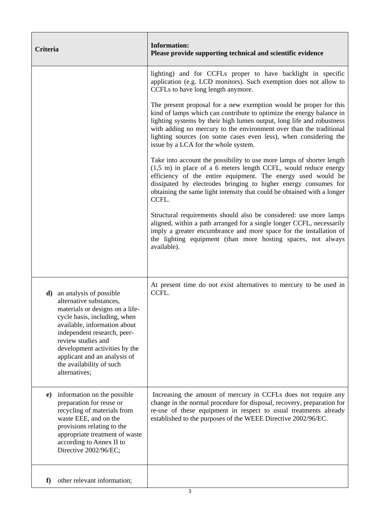| Criteria                                                                                                                                                                                                                                                                                                                            | <b>Information:</b><br>Please provide supporting technical and scientific evidence                                                                                                                                                                                                                                                                                                                                                                                                                                                                                                                                                                                                                                                                                                                                                                                                                                                                     |
|-------------------------------------------------------------------------------------------------------------------------------------------------------------------------------------------------------------------------------------------------------------------------------------------------------------------------------------|--------------------------------------------------------------------------------------------------------------------------------------------------------------------------------------------------------------------------------------------------------------------------------------------------------------------------------------------------------------------------------------------------------------------------------------------------------------------------------------------------------------------------------------------------------------------------------------------------------------------------------------------------------------------------------------------------------------------------------------------------------------------------------------------------------------------------------------------------------------------------------------------------------------------------------------------------------|
|                                                                                                                                                                                                                                                                                                                                     | lighting) and for CCFLs proper to have backlight in specific<br>application (e.g. LCD monitors). Such exemption does not allow to<br>CCFLs to have long length anymore.<br>The present proposal for a new exemption would be proper for this<br>kind of lamps which can contribute to optimize the energy balance in<br>lighting systems by their high lumen output, long life and robustness<br>with adding no mercury to the environment over than the traditional<br>lighting sources (on some cases even less), when considering the<br>issue by a LCA for the whole system.<br>Take into account the possibility to use more lamps of shorter length<br>$(1,5, m)$ in place of a 6 meters length CCFL, would reduce energy<br>efficiency of the entire equipment. The energy used would be<br>dissipated by electrodes bringing to higher energy consumes for<br>obtaining the same light intensity that could be obtained with a longer<br>CCFL. |
|                                                                                                                                                                                                                                                                                                                                     | Structural requirements should also be considered: use more lamps<br>aligned, within a path arranged for a single longer CCFL, necessarily<br>imply a greater encumbrance and more space for the installation of<br>the lighting equipment (than more hosting spaces, not always<br>available).                                                                                                                                                                                                                                                                                                                                                                                                                                                                                                                                                                                                                                                        |
| <b>d</b> ) an analysis of possible<br>alternative substances,<br>materials or designs on a life-<br>cycle basis, including, when<br>available, information about<br>independent research, peer-<br>review studies and<br>development activities by the<br>applicant and an analysis of<br>the availability of such<br>alternatives; | At present time do not exist alternatives to mercury to be used in<br>CCFL.                                                                                                                                                                                                                                                                                                                                                                                                                                                                                                                                                                                                                                                                                                                                                                                                                                                                            |
| information on the possible<br>e)<br>preparation for reuse or<br>recycling of materials from<br>waste EEE, and on the<br>provisions relating to the<br>appropriate treatment of waste<br>according to Annex II to<br>Directive 2002/96/EC;                                                                                          | Increasing the amount of mercury in CCFLs does not require any<br>change in the normal procedure for disposal, recovery, preparation for<br>re-use of these equipment in respect to usual treatments already<br>established to the purposes of the WEEE Directive 2002/96/EC.                                                                                                                                                                                                                                                                                                                                                                                                                                                                                                                                                                                                                                                                          |
| other relevant information;<br>f)                                                                                                                                                                                                                                                                                                   |                                                                                                                                                                                                                                                                                                                                                                                                                                                                                                                                                                                                                                                                                                                                                                                                                                                                                                                                                        |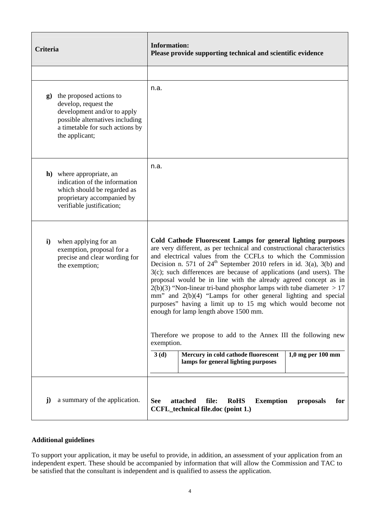| Criteria                                                                                                                                                                               | <b>Information:</b><br>Please provide supporting technical and scientific evidence                                                                                                                                                                                                                                                                                                                                                                                                                                                                                                                                                                                                                                                                                                                                                                                               |
|----------------------------------------------------------------------------------------------------------------------------------------------------------------------------------------|----------------------------------------------------------------------------------------------------------------------------------------------------------------------------------------------------------------------------------------------------------------------------------------------------------------------------------------------------------------------------------------------------------------------------------------------------------------------------------------------------------------------------------------------------------------------------------------------------------------------------------------------------------------------------------------------------------------------------------------------------------------------------------------------------------------------------------------------------------------------------------|
|                                                                                                                                                                                        |                                                                                                                                                                                                                                                                                                                                                                                                                                                                                                                                                                                                                                                                                                                                                                                                                                                                                  |
| the proposed actions to<br>$\mathbf{g}$<br>develop, request the<br>development and/or to apply<br>possible alternatives including<br>a timetable for such actions by<br>the applicant; | n.a.                                                                                                                                                                                                                                                                                                                                                                                                                                                                                                                                                                                                                                                                                                                                                                                                                                                                             |
| <b>h</b> ) where appropriate, an<br>indication of the information<br>which should be regarded as<br>proprietary accompanied by<br>verifiable justification;                            | n.a.                                                                                                                                                                                                                                                                                                                                                                                                                                                                                                                                                                                                                                                                                                                                                                                                                                                                             |
| $\mathbf{i}$<br>when applying for an<br>exemption, proposal for a<br>precise and clear wording for<br>the exemption;                                                                   | Cold Cathode Fluorescent Lamps for general lighting purposes<br>are very different, as per technical and constructional characteristics<br>and electrical values from the CCFLs to which the Commission<br>Decision n. 571 of $24th$ September 2010 refers in id. 3(a), 3(b) and<br>$3(c)$ ; such differences are because of applications (and users). The<br>proposal would be in line with the already agreed concept as in<br>$2(b)(3)$ "Non-linear tri-band phosphor lamps with tube diameter $> 17$<br>mm" and 2(b)(4) "Lamps for other general lighting and special<br>purposes" having a limit up to 15 mg which would become not<br>enough for lamp length above 1500 mm.<br>Therefore we propose to add to the Annex III the following new<br>exemption.<br>Mercury in cold cathode fluorescent<br>3(d)<br>$1,0$ mg per $100$ mm<br>lamps for general lighting purposes |
| a summary of the application.<br>$\mathbf{j}$                                                                                                                                          | attached<br>file:<br><b>RoHS</b><br><b>Exemption</b><br><b>See</b><br>proposals<br>for<br><b>CCFL_technical file.doc (point 1.)</b>                                                                                                                                                                                                                                                                                                                                                                                                                                                                                                                                                                                                                                                                                                                                              |

# **Additional guidelines**

To support your application, it may be useful to provide, in addition, an assessment of your application from an independent expert. These should be accompanied by information that will allow the Commission and TAC to be satisfied that the consultant is independent and is qualified to assess the application.